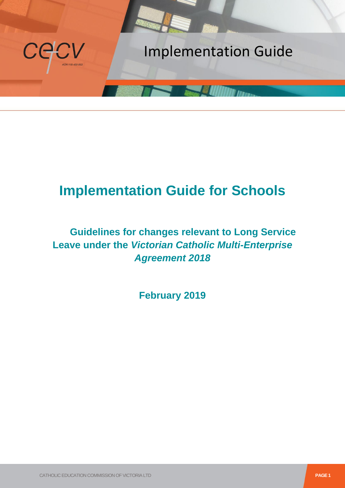

# **Implementation Guide for Schools**

## **Guidelines for changes relevant to Long Service Leave under the** *Victorian Catholic Multi-Enterprise Agreement 2018*

**February 2019**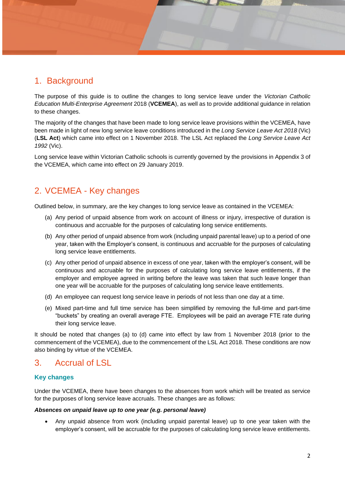## 1. Background

The purpose of this guide is to outline the changes to long service leave under the *Victorian Catholic Education Multi-Enterprise Agreement* 2018 (**VCEMEA**), as well as to provide additional guidance in relation to these changes.

The majority of the changes that have been made to long service leave provisions within the VCEMEA, have been made in light of new long service leave conditions introduced in the *Long Service Leave Act 2018* (Vic) (**LSL Act**) which came into effect on 1 November 2018. The LSL Act replaced the *Long Service Leave Act 1992* (Vic).

Long service leave within Victorian Catholic schools is currently governed by the provisions in Appendix 3 of the VCEMEA, which came into effect on 29 January 2019.

## 2. VCEMEA - Key changes

Outlined below, in summary, are the key changes to long service leave as contained in the VCEMEA:

- (a) Any period of unpaid absence from work on account of illness or injury, irrespective of duration is continuous and accruable for the purposes of calculating long service entitlements.
- (b) Any other period of unpaid absence from work (including unpaid parental leave) up to a period of one year, taken with the Employer's consent, is continuous and accruable for the purposes of calculating long service leave entitlements.
- (c) Any other period of unpaid absence in excess of one year, taken with the employer's consent, will be continuous and accruable for the purposes of calculating long service leave entitlements, if the employer and employee agreed in writing before the leave was taken that such leave longer than one year will be accruable for the purposes of calculating long service leave entitlements.
- (d) An employee can request long service leave in periods of not less than one day at a time.
- (e) Mixed part-time and full time service has been simplified by removing the full-time and part-time "buckets" by creating an overall average FTE. Employees will be paid an average FTE rate during their long service leave.

It should be noted that changes (a) to (d) came into effect by law from 1 November 2018 (prior to the commencement of the VCEMEA), due to the commencement of the LSL Act 2018. These conditions are now also binding by virtue of the VCEMEA.

### 3. Accrual of LSL

#### **Key changes**

Under the VCEMEA, there have been changes to the absences from work which will be treated as service for the purposes of long service leave accruals. These changes are as follows:

#### *Absences on unpaid leave up to one year (e.g. personal leave)*

 Any unpaid absence from work (including unpaid parental leave) up to one year taken with the employer's consent, will be accruable for the purposes of calculating long service leave entitlements.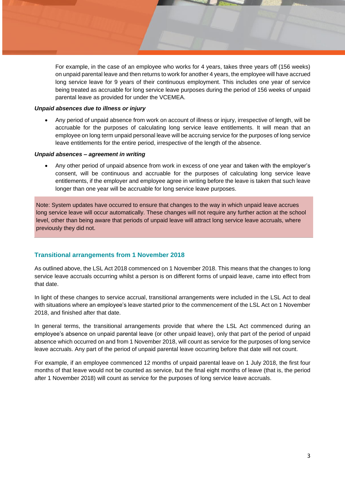For example, in the case of an employee who works for 4 years, takes three years off (156 weeks) on unpaid parental leave and then returns to work for another 4 years, the employee will have accrued long service leave for 9 years of their continuous employment. This includes one year of service being treated as accruable for long service leave purposes during the period of 156 weeks of unpaid parental leave as provided for under the VCEMEA.

#### *Unpaid absences due to illness or injury*

 Any period of unpaid absence from work on account of illness or injury, irrespective of length, will be accruable for the purposes of calculating long service leave entitlements. It will mean that an employee on long term unpaid personal leave will be accruing service for the purposes of long service leave entitlements for the entire period, irrespective of the length of the absence.

#### *Unpaid absences – agreement in writing*

 Any other period of unpaid absence from work in excess of one year and taken with the employer's consent, will be continuous and accruable for the purposes of calculating long service leave entitlements, if the employer and employee agree in writing before the leave is taken that such leave longer than one year will be accruable for long service leave purposes.

Note: System updates have occurred to ensure that changes to the way in which unpaid leave accrues long service leave will occur automatically. These changes will not require any further action at the school level, other than being aware that periods of unpaid leave will attract long service leave accruals, where previously they did not.

#### **Transitional arrangements from 1 November 2018**

As outlined above, the LSL Act 2018 commenced on 1 November 2018. This means that the changes to long service leave accruals occurring whilst a person is on different forms of unpaid leave, came into effect from that date.

In light of these changes to service accrual, transitional arrangements were included in the LSL Act to deal with situations where an employee's leave started prior to the commencement of the LSL Act on 1 November 2018, and finished after that date.

In general terms, the transitional arrangements provide that where the LSL Act commenced during an employee's absence on unpaid parental leave (or other unpaid leave), only that part of the period of unpaid absence which occurred on and from 1 November 2018, will count as service for the purposes of long service leave accruals. Any part of the period of unpaid parental leave occurring before that date will not count.

For example, if an employee commenced 12 months of unpaid parental leave on 1 July 2018, the first four months of that leave would not be counted as service, but the final eight months of leave (that is, the period after 1 November 2018) will count as service for the purposes of long service leave accruals.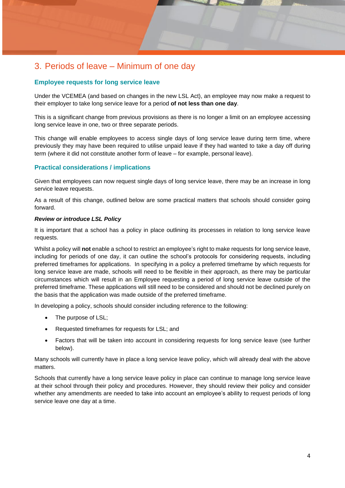## 3. Periods of leave – Minimum of one day

#### **Employee requests for long service leave**

Under the VCEMEA (and based on changes in the new LSL Act), an employee may now make a request to their employer to take long service leave for a period **of not less than one day**.

This is a significant change from previous provisions as there is no longer a limit on an employee accessing long service leave in one, two or three separate periods.

This change will enable employees to access single days of long service leave during term time, where previously they may have been required to utilise unpaid leave if they had wanted to take a day off during term (where it did not constitute another form of leave – for example, personal leave).

#### **Practical considerations / implications**

Given that employees can now request single days of long service leave, there may be an increase in long service leave requests.

As a result of this change, outlined below are some practical matters that schools should consider going forward.

#### *Review or introduce LSL Policy*

It is important that a school has a policy in place outlining its processes in relation to long service leave requests.

Whilst a policy will **not** enable a school to restrict an employee's right to make requests for long service leave, including for periods of one day, it can outline the school's protocols for considering requests, including preferred timeframes for applications. In specifying in a policy a preferred timeframe by which requests for long service leave are made, schools will need to be flexible in their approach, as there may be particular circumstances which will result in an Employee requesting a period of long service leave outside of the preferred timeframe. These applications will still need to be considered and should not be declined purely on the basis that the application was made outside of the preferred timeframe.

In developing a policy, schools should consider including reference to the following:

- The purpose of LSL;
- Requested timeframes for requests for LSL; and
- Factors that will be taken into account in considering requests for long service leave (see further below).

Many schools will currently have in place a long service leave policy, which will already deal with the above matters.

Schools that currently have a long service leave policy in place can continue to manage long service leave at their school through their policy and procedures. However, they should review their policy and consider whether any amendments are needed to take into account an employee's ability to request periods of long service leave one day at a time.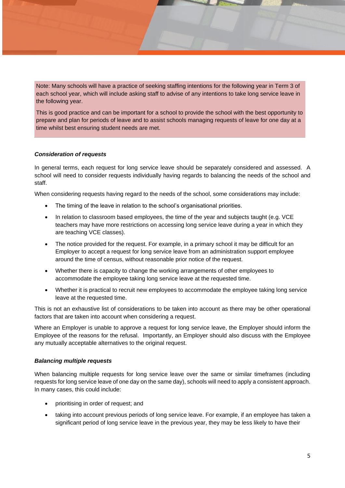Note: Many schools will have a practice of seeking staffing intentions for the following year in Term 3 of each school year, which will include asking staff to advise of any intentions to take long service leave in the following year.

This is good practice and can be important for a school to provide the school with the best opportunity to prepare and plan for periods of leave and to assist schools managing requests of leave for one day at a time whilst best ensuring student needs are met.

#### *Consideration of requests*

In general terms, each request for long service leave should be separately considered and assessed. A school will need to consider requests individually having regards to balancing the needs of the school and staff.

When considering requests having regard to the needs of the school, some considerations may include:

- The timing of the leave in relation to the school's organisational priorities.
- In relation to classroom based employees, the time of the year and subjects taught (e.g. VCE teachers may have more restrictions on accessing long service leave during a year in which they are teaching VCE classes).
- The notice provided for the request. For example, in a primary school it may be difficult for an Employer to accept a request for long service leave from an administration support employee around the time of census, without reasonable prior notice of the request.
- Whether there is capacity to change the working arrangements of other employees to accommodate the employee taking long service leave at the requested time.
- Whether it is practical to recruit new employees to accommodate the employee taking long service leave at the requested time.

This is not an exhaustive list of considerations to be taken into account as there may be other operational factors that are taken into account when considering a request.

Where an Employer is unable to approve a request for long service leave, the Employer should inform the Employee of the reasons for the refusal. Importantly, an Employer should also discuss with the Employee any mutually acceptable alternatives to the original request.

#### *Balancing multiple requests*

When balancing multiple requests for long service leave over the same or similar timeframes (including requests for long service leave of one day on the same day), schools will need to apply a consistent approach. In many cases, this could include:

- prioritising in order of request; and
- taking into account previous periods of long service leave. For example, if an employee has taken a significant period of long service leave in the previous year, they may be less likely to have their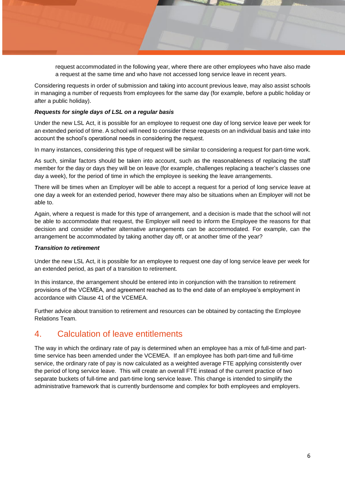request accommodated in the following year, where there are other employees who have also made a request at the same time and who have not accessed long service leave in recent years.

Considering requests in order of submission and taking into account previous leave, may also assist schools in managing a number of requests from employees for the same day (for example, before a public holiday or after a public holiday).

#### *Requests for single days of LSL on a regular basis*

Under the new LSL Act, it is possible for an employee to request one day of long service leave per week for an extended period of time. A school will need to consider these requests on an individual basis and take into account the school's operational needs in considering the request.

In many instances, considering this type of request will be similar to considering a request for part-time work.

As such, similar factors should be taken into account, such as the reasonableness of replacing the staff member for the day or days they will be on leave (for example, challenges replacing a teacher's classes one day a week), for the period of time in which the employee is seeking the leave arrangements.

There will be times when an Employer will be able to accept a request for a period of long service leave at one day a week for an extended period, however there may also be situations when an Employer will not be able to.

Again, where a request is made for this type of arrangement, and a decision is made that the school will not be able to accommodate that request, the Employer will need to inform the Employee the reasons for that decision and consider whether alternative arrangements can be accommodated. For example, can the arrangement be accommodated by taking another day off, or at another time of the year?

#### *Transition to retirement*

Under the new LSL Act, it is possible for an employee to request one day of long service leave per week for an extended period, as part of a transition to retirement.

In this instance, the arrangement should be entered into in conjunction with the transition to retirement provisions of the VCEMEA, and agreement reached as to the end date of an employee's employment in accordance with Clause 41 of the VCEMEA.

Further advice about transition to retirement and resources can be obtained by contacting the Employee Relations Team.

### 4. Calculation of leave entitlements

The way in which the ordinary rate of pay is determined when an employee has a mix of full-time and parttime service has been amended under the VCEMEA. If an employee has both part-time and full-time service, the ordinary rate of pay is now calculated as a weighted average FTE applying consistently over the period of long service leave. This will create an overall FTE instead of the current practice of two separate buckets of full-time and part-time long service leave. This change is intended to simplify the administrative framework that is currently burdensome and complex for both employees and employers.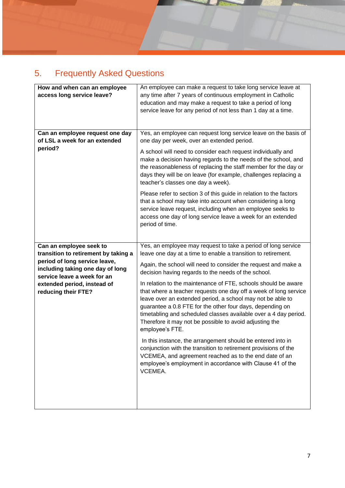# 5. Frequently Asked Questions

| How and when can an employee<br>access long service leave?<br>Can an employee request one day<br>of LSL a week for an extended                                                                 | An employee can make a request to take long service leave at<br>any time after 7 years of continuous employment in Catholic<br>education and may make a request to take a period of long<br>service leave for any period of not less than 1 day at a time.<br>Yes, an employee can request long service leave on the basis of<br>one day per week, over an extended period.                                                                                                                                                                                                                     |
|------------------------------------------------------------------------------------------------------------------------------------------------------------------------------------------------|-------------------------------------------------------------------------------------------------------------------------------------------------------------------------------------------------------------------------------------------------------------------------------------------------------------------------------------------------------------------------------------------------------------------------------------------------------------------------------------------------------------------------------------------------------------------------------------------------|
| period?                                                                                                                                                                                        | A school will need to consider each request individually and<br>make a decision having regards to the needs of the school, and<br>the reasonableness of replacing the staff member for the day or<br>days they will be on leave (for example, challenges replacing a<br>teacher's classes one day a week).<br>Please refer to section 3 of this guide in relation to the factors<br>that a school may take into account when considering a long<br>service leave request, including when an employee seeks to<br>access one day of long service leave a week for an extended<br>period of time. |
| Can an employee seek to                                                                                                                                                                        | Yes, an employee may request to take a period of long service                                                                                                                                                                                                                                                                                                                                                                                                                                                                                                                                   |
| transition to retirement by taking a<br>period of long service leave,<br>including taking one day of long<br>service leave a week for an<br>extended period, instead of<br>reducing their FTE? | leave one day at a time to enable a transition to retirement.<br>Again, the school will need to consider the request and make a<br>decision having regards to the needs of the school.<br>In relation to the maintenance of FTE, schools should be aware<br>that where a teacher requests one day off a week of long service<br>leave over an extended period, a school may not be able to<br>guarantee a 0.8 FTE for the other four days, depending on<br>timetabling and scheduled classes available over a 4 day period.                                                                     |
|                                                                                                                                                                                                | Therefore it may not be possible to avoid adjusting the<br>employee's FTE.                                                                                                                                                                                                                                                                                                                                                                                                                                                                                                                      |
|                                                                                                                                                                                                | In this instance, the arrangement should be entered into in<br>conjunction with the transition to retirement provisions of the<br>VCEMEA, and agreement reached as to the end date of an<br>employee's employment in accordance with Clause 41 of the<br>VCEMEA.                                                                                                                                                                                                                                                                                                                                |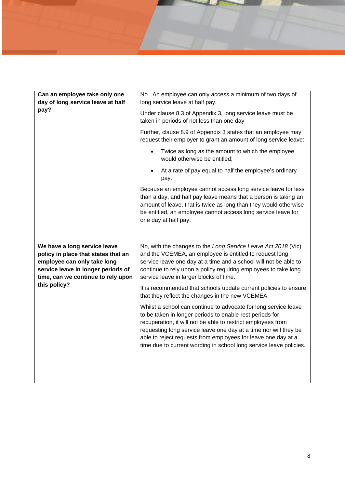| long service leave at half pay.<br>Under clause 8.3 of Appendix 3, long service leave must be<br>taken in periods of not less than one day<br>Further, clause 8.9 of Appendix 3 states that an employee may<br>request their employer to grant an amount of long service leave:<br>Twice as long as the amount to which the employee<br>would otherwise be entitled; |
|----------------------------------------------------------------------------------------------------------------------------------------------------------------------------------------------------------------------------------------------------------------------------------------------------------------------------------------------------------------------|
|                                                                                                                                                                                                                                                                                                                                                                      |
|                                                                                                                                                                                                                                                                                                                                                                      |
|                                                                                                                                                                                                                                                                                                                                                                      |
|                                                                                                                                                                                                                                                                                                                                                                      |
| At a rate of pay equal to half the employee's ordinary                                                                                                                                                                                                                                                                                                               |
| Because an employee cannot access long service leave for less<br>than a day, and half pay leave means that a person is taking an<br>amount of leave, that is twice as long than they would otherwise<br>be entitled, an employee cannot access long service leave for                                                                                                |
| No, with the changes to the Long Service Leave Act 2018 (Vic)                                                                                                                                                                                                                                                                                                        |
| and the VCEMEA, an employee is entitled to request long                                                                                                                                                                                                                                                                                                              |
| service leave one day at a time and a school will not be able to                                                                                                                                                                                                                                                                                                     |
| continue to rely upon a policy requiring employees to take long                                                                                                                                                                                                                                                                                                      |
| service leave in larger blocks of time.                                                                                                                                                                                                                                                                                                                              |
|                                                                                                                                                                                                                                                                                                                                                                      |
| It is recommended that schools update current policies to ensure<br>that they reflect the changes in the new VCEMEA.                                                                                                                                                                                                                                                 |
| Whilst a school can continue to advocate for long service leave<br>to be taken in longer periods to enable rest periods for<br>recuperation, it will not be able to restrict employees from<br>requesting long service leave one day at a time nor will they be<br>able to reject requests from employees for leave one day at a                                     |
|                                                                                                                                                                                                                                                                                                                                                                      |